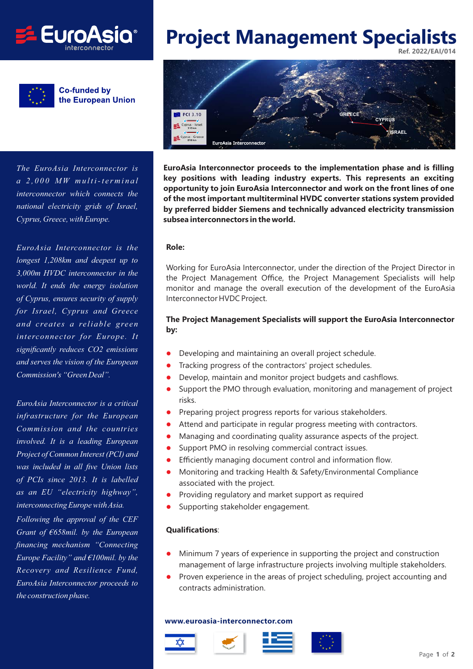



**Co-funded by** the European Union

*The EuroAsia Interconnector is a 2,000 MW multi-terminal interconnector which connects the national electricity grids of Israel, Cyprus, Greece, with Europe.*

*EuroAsia Interconnector is the longest 1,208km and deepest up to 3,000m HVDC interconnector in the world. It ends the energy isolation of Cyprus, ensures security of supply for Israel, Cyprus and Greece and creates a reliable green interconnector for Europe. It significantly reduces CO2 emissions and serves the vision of the European Commission's "Green Deal".*

*EuroAsia Interconnector is a critical infrastructure for the European Commission and the countries involved. It is a leading European Project of Common Interest (PCI) and was included in all five Union lists of PCIs since 2013. It is labelled as an EU "electricity highway", interconnecting Europe with Asia. Following the approval of the CEF Grant of €658mil. by the European financing mechanism "Connecting Europe Facility" and €100mil. by the Recovery and Resilience Fund, EuroAsia Interconnector proceeds to*

*the construction phase.*

# **Project Management Specialists Ref. 2022/EAI/014**



**EuroAsia Interconnector proceeds to the implementation phase and is filling key positions with leading industry experts. This represents an exciting opportunity to join EuroAsia Interconnector and work on the front lines of one of the most important multiterminal HVDC converter stations system provided by preferred bidder Siemens and technically advanced electricity transmission subsea interconnectors in the world.**

#### **Role:**

Working for EuroAsia Interconnector, under the direction of the Project Director in the Project Management Office, the Project Management Specialists will help monitor and manage the overall execution of the development of the EuroAsia Interconnector HVDC Project.

# **The Project Management Specialists will support the EuroAsia Interconnector by:**

- $\bullet$ Developing and maintaining an overall project schedule.
- $\bullet$ Tracking progress of the contractors' project schedules.
- $\bullet$ Develop, maintain and monitor project budgets and cashflows.
- $\bullet$  Support the PMO through evaluation, monitoring and management of project risks.
- $\bullet$ Preparing project progress reports for various stakeholders.
- $\bullet$ Attend and participate in regular progress meeting with contractors.
- $\bullet$ Managing and coordinating quality assurance aspects of the project.
- $\bullet$ Support PMO in resolving commercial contract issues.
- $\bullet$ Efficiently managing document control and information flow.
- $\bullet$ Monitoring and tracking Health & Safety/Environmental Compliance associated with the project.
- $\bullet$ Providing regulatory and market support as required
- $\bullet$ Supporting stakeholder engagement.

## **Qualifications**:

- $\bullet$  Minimum 7 years of experience in supporting the project and construction management of large infrastructure projects involving multiple stakeholders.
- $\bullet$  Proven experience in the areas of project scheduling, project accounting and contracts administration.

### **www.euroasia-interconnector.com**